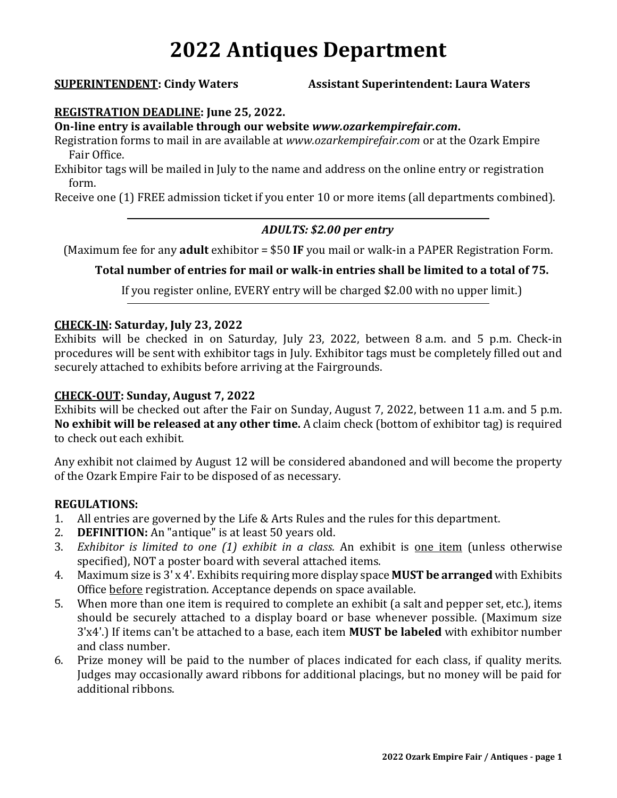# **2022 Antiques Department**

**SUPERINTENDENT: Cindy Waters Assistant Superintendent: Laura Waters**

#### **REGISTRATION DEADLINE: June 25, 2022.**

**On-line entry is available through our website** *www.ozarkempirefair.com***.**

Registration forms to mail in are available at *www.ozarkempirefair.com* or at the Ozark Empire Fair Office.

Exhibitor tags will be mailed in July to the name and address on the online entry or registration form.

Receive one (1) FREE admission ticket if you enter 10 or more items (all departments combined).

#### *ADULTS: \$2.00 per entry*

(Maximum fee for any **adult** exhibitor = \$50 **IF** you mail or walk-in a PAPER Registration Form.

### **Total number of entries for mail or walk-in entries shall be limited to a total of 75.**

If you register online, EVERY entry will be charged \$2.00 with no upper limit.)

#### **CHECK-IN: Saturday, July 23, 2022**

Exhibits will be checked in on Saturday, July 23, 2022, between 8 a.m. and 5 p.m. Check-in procedures will be sent with exhibitor tags in July. Exhibitor tags must be completely filled out and securely attached to exhibits before arriving at the Fairgrounds.

#### **CHECK-OUT: Sunday, August 7, 2022**

Exhibits will be checked out after the Fair on Sunday, August 7, 2022, between 11 a.m. and 5 p.m. **No exhibit will be released at any other time.** A claim check (bottom of exhibitor tag) is required to check out each exhibit.

Any exhibit not claimed by August 12 will be considered abandoned and will become the property of the Ozark Empire Fair to be disposed of as necessary.

#### **REGULATIONS:**

- 1. All entries are governed by the Life & Arts Rules and the rules for this department.
- 2. **DEFINITION:** An "antique" is at least 50 years old.
- 3. *Exhibitor is limited to one (1) exhibit in a class.* An exhibit is one item (unless otherwise specified), NOT a poster board with several attached items.
- 4. Maximum size is 3' x 4'. Exhibits requiring more display space **MUST be arranged** with Exhibits Office before registration. Acceptance depends on space available.
- 5. When more than one item is required to complete an exhibit (a salt and pepper set, etc.), items should be securely attached to a display board or base whenever possible. (Maximum size 3'x4'.) If items can't be attached to a base, each item **MUST be labeled** with exhibitor number and class number.
- 6. Prize money will be paid to the number of places indicated for each class, if quality merits. Judges may occasionally award ribbons for additional placings, but no money will be paid for additional ribbons.